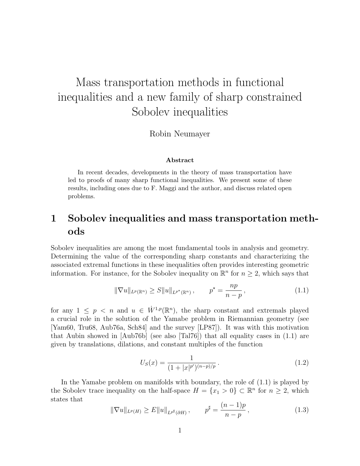# Mass transportation methods in functional inequalities and a new family of sharp constrained Sobolev inequalities

Robin Neumayer

#### Abstract

In recent decades, developments in the theory of mass transportation have led to proofs of many sharp functional inequalities. We present some of these results, including ones due to F. Maggi and the author, and discuss related open problems.

# 1 Sobolev inequalities and mass transportation methods

Sobolev inequalities are among the most fundamental tools in analysis and geometry. Determining the value of the corresponding sharp constants and characterizing the associated extremal functions in these inequalities often provides interesting geometric information. For instance, for the Sobolev inequality on  $\mathbb{R}^n$  for  $n \geq 2$ , which says that

$$
\|\nabla u\|_{L^p(\mathbb{R}^n)} \ge S \|u\|_{L^{p^*}(\mathbb{R}^n)}, \qquad p^* = \frac{np}{n-p}, \tag{1.1}
$$

for any  $1 \leq p \leq n$  and  $u \in \dot{W}^{1,p}(\mathbb{R}^n)$ , the sharp constant and extremals played a crucial role in the solution of the Yamabe problem in Riemannian geometry (see [Yam60, Tru68, Aub76a, Sch84] and the survey [LP87]). It was with this motivation that Aubin showed in [Aub76b] (see also [Tal76]) that all equality cases in (1.1) are given by translations, dilations, and constant multiples of the function

$$
U_S(x) = \frac{1}{(1+|x|^{p'})^{(n-p)/p}}.
$$
\n(1.2)

In the Yamabe problem on manifolds with boundary, the role of (1.1) is played by the Sobolev trace inequality on the half-space  $H = \{x_1 > 0\} \subset \mathbb{R}^n$  for  $n \geq 2$ , which states that

$$
\|\nabla u\|_{L^p(H)} \ge E\|u\|_{L^{p^{\sharp}}(\partial H)}, \qquad p^{\sharp} = \frac{(n-1)p}{n-p}, \qquad (1.3)
$$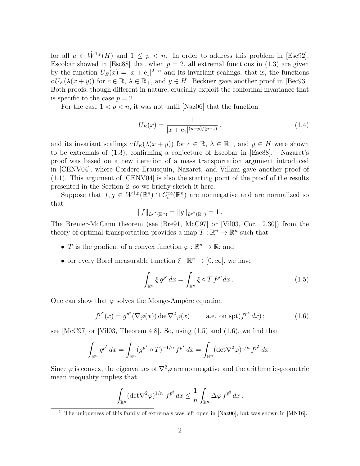for all  $u \in \dot{W}^{1,p}(H)$  and  $1 \leq p \leq n$ . In order to address this problem in [Esc92], Escobar showed in [Esc88] that when  $p = 2$ , all extremal functions in (1.3) are given by the function  $U_E(x) = |x + e_1|^{2-n}$  and its invariant scalings, that is, the functions  $c U_E(\lambda(x+y))$  for  $c \in \mathbb{R}, \lambda \in \mathbb{R}_+$ , and  $y \in H$ . Beckner gave another proof in [Bec93]. Both proofs, though different in nature, crucially exploit the conformal invariance that is specific to the case  $p = 2$ .

For the case  $1 < p < n$ , it was not until [Naz06] that the function

$$
U_E(x) = \frac{1}{|x + e_1|^{(n-p)/(p-1)}}.
$$
\n(1.4)

and its invariant scalings  $c U_E(\lambda(x+y))$  for  $c \in \mathbb{R}$ ,  $\lambda \in \mathbb{R}_+$ , and  $y \in H$  were shown to be extremals of  $(1.3)$ , confirming a conjecture of Escobar in [Esc88].<sup>1</sup> Nazaret's proof was based on a new iteration of a mass transportation argument introduced in [CENV04], where Cordero-Erausquin, Nazaret, and Villani gave another proof of (1.1). This argument of [CENV04] is also the starting point of the proof of the results presented in the Section 2, so we briefly sketch it here.

Suppose that  $f, g \in W^{1,p}(\mathbb{R}^n) \cap C_c^{\infty}(\mathbb{R}^n)$  are nonnegative and are normalized so that

$$
||f||_{L^{p^*}(\mathbb{R}^n)} = ||g||_{L^{p^*}(\mathbb{R}^n)} = 1.
$$

The Brenier-McCann theorem (see [Bre91, McC97] or [Vil03, Cor. 2.30]) from the theory of optimal transportation provides a map  $T: \mathbb{R}^n \to \mathbb{R}^n$  such that

- T is the gradient of a convex function  $\varphi : \mathbb{R}^n \to \mathbb{R}$ ; and
- for every Borel measurable function  $\xi : \mathbb{R}^n \to [0, \infty]$ , we have

$$
\int_{\mathbb{R}^n} \xi \, g^{p^*} dx = \int_{\mathbb{R}^n} \xi \circ T \, f^{p^*} dx \,. \tag{1.5}
$$

One can show that  $\varphi$  solves the Monge-Ampère equation

$$
f^{p^*}(x) = g^{p^*}(\nabla \varphi(x)) \det \nabla^2 \varphi(x) \qquad \text{a.e. on } \operatorname{spt}(f^{p^*} dx); \tag{1.6}
$$

see  $[McC97]$  or  $[Vil03, Theorem 4.8]$ . So, using  $(1.5)$  and  $(1.6)$ , we find that

$$
\int_{\mathbb{R}^n} g^{p^{\sharp}} dx = \int_{\mathbb{R}^n} (g^{p^{\star}} \circ T)^{-1/n} f^{p^{\star}} dx = \int_{\mathbb{R}^n} (\det \nabla^2 \varphi)^{1/n} f^{p^{\sharp}} dx.
$$

Since  $\varphi$  is convex, the eigenvalues of  $\nabla^2 \varphi$  are nonnegative and the arithmetic-geometric mean inequality implies that

$$
\int_{\mathbb{R}^n} (\det \nabla^2 \varphi)^{1/n} f^{p^{\sharp}} dx \leq \frac{1}{n} \int_{\mathbb{R}^n} \Delta \varphi f^{p^{\sharp}} dx.
$$

<sup>&</sup>lt;sup>1</sup> The uniqueness of this family of extremals was left open in [Naz06], but was shown in [MN16].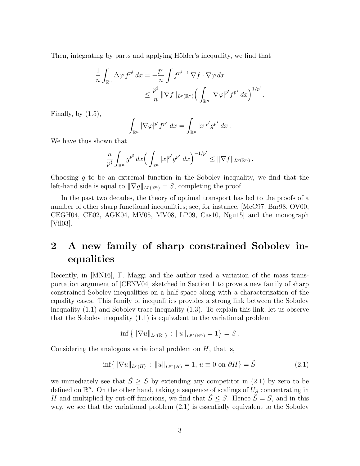Then, integrating by parts and applying Hölder's inequality, we find that

$$
\frac{1}{n} \int_{\mathbb{R}^n} \Delta \varphi f^{p^{\sharp}} dx = -\frac{p^{\sharp}}{n} \int f^{p^{\sharp}-1} \nabla f \cdot \nabla \varphi dx
$$
\n
$$
\leq \frac{p^{\sharp}}{n} \|\nabla f\|_{L^p(\mathbb{R}^n)} \Big(\int_{\mathbb{R}^n} |\nabla \varphi|^{p'} f^{p^{\star}} dx\Big)^{1/p'}
$$

.

Finally, by  $(1.5)$ ,

$$
\int_{\mathbb{R}^n} |\nabla \varphi|^{p'} f^{p^*} dx = \int_{\mathbb{R}^n} |x|^{p'} g^{p^*} dx.
$$

We have thus shown that

$$
\frac{n}{p^{\sharp}} \int_{\mathbb{R}^n} g^{p^{\sharp}} dx \left( \int_{\mathbb{R}^n} |x|^{p'} g^{p^{\star}} dx \right)^{-1/p'} \leq ||\nabla f||_{L^p(\mathbb{R}^n)}.
$$

Choosing q to be an extremal function in the Sobolev inequality, we find that the left-hand side is equal to  $\|\nabla g\|_{L^p(\mathbb{R}^n)} = S$ , completing the proof.

In the past two decades, the theory of optimal transport has led to the proofs of a number of other sharp functional inequalities; see, for instance, [McC97, Bar98, OV00, CEGH04, CE02, AGK04, MV05, MV08, LP09, Cas10, Ngu15] and the monograph [Vil03].

## 2 A new family of sharp constrained Sobolev inequalities

Recently, in [MN16], F. Maggi and the author used a variation of the mass transportation argument of [CENV04] sketched in Section 1 to prove a new family of sharp constrained Sobolev inequalities on a half-space along with a characterization of the equality cases. This family of inequalities provides a strong link between the Sobolev inequality (1.1) and Sobolev trace inequality (1.3). To explain this link, let us observe that the Sobolev inequality (1.1) is equivalent to the variational problem

$$
\inf \{ ||\nabla u||_{L^p(\mathbb{R}^n)} : ||u||_{L^{p^*}(\mathbb{R}^n)} = 1 \} = S.
$$

Considering the analogous variational problem on  $H$ , that is,

$$
\inf \{ \| \nabla u \|_{L^p(H)} : \| u \|_{L^{p^*}(H)} = 1, u \equiv 0 \text{ on } \partial H \} = \tilde{S}
$$
\n(2.1)

we immediately see that  $\tilde{S} \geq S$  by extending any competitor in (2.1) by zero to be defined on  $\mathbb{R}^n$ . On the other hand, taking a sequence of scalings of  $U_s$  concentrating in H and multiplied by cut-off functions, we find that  $\tilde{S} \leq S$ . Hence  $\tilde{S} = S$ , and in this way, we see that the variational problem (2.1) is essentially equivalent to the Sobolev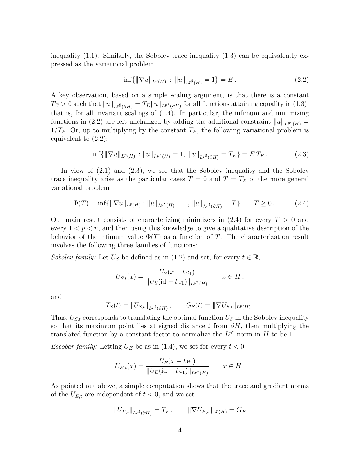inequality  $(1.1)$ . Similarly, the Sobolev trace inequality  $(1.3)$  can be equivalently expressed as the variational problem

$$
\inf\{\|\nabla u\|_{L^p(H)} : \|u\|_{L^{p^{\sharp}}(H)} = 1\} = E. \tag{2.2}
$$

A key observation, based on a simple scaling argument, is that there is a constant  $T_E > 0$  such that  $||u||_{L^{p^*}(\partial H)} = T_E ||u||_{L^{p^*}(\partial H)}$  for all functions attaining equality in (1.3), that is, for all invariant scalings of (1.4). In particular, the infimum and minimizing functions in (2.2) are left unchanged by adding the additional constraint  $||u||_{L^{p^*}(H)} =$  $1/T_E$ . Or, up to multiplying by the constant  $T_E$ , the following variational problem is equivalent to (2.2):

$$
\inf\{\|\nabla u\|_{L^p(H)} : \|u\|_{L^{p^*}(H)} = 1, \|u\|_{L^{p^*}(\partial H)} = T_E\} = ET_E.
$$
\n(2.3)

In view of (2.1) and (2.3), we see that the Sobolev inequality and the Sobolev trace inequality arise as the particular cases  $T = 0$  and  $T = T_E$  of the more general variational problem

$$
\Phi(T) = \inf \{ ||\nabla u||_{L^p(H)} : ||u||_{L^{p^*}(H)} = 1, ||u||_{L^{p^*}(\partial H)} = T \} \qquad T \ge 0. \tag{2.4}
$$

Our main result consists of characterizing minimizers in  $(2.4)$  for every  $T > 0$  and every  $1 < p < n$ , and then using this knowledge to give a qualitative description of the behavior of the infimum value  $\Phi(T)$  as a function of T. The characterization result involves the following three families of functions:

Sobolev family: Let  $U_S$  be defined as in (1.2) and set, for every  $t \in \mathbb{R}$ ,

$$
U_{S,t}(x) = \frac{U_S(x - t e_1)}{\|U_S(\mathrm{id} - t e_1)\|_{L^{p^*}(H)}} \qquad x \in H,
$$

and

$$
T_S(t) = ||U_{S,t}||_{L^{p^{\sharp}}(\partial H)}, \qquad G_S(t) = ||\nabla U_{S,t}||_{L^{p}(H)}.
$$

Thus,  $U_{S,t}$  corresponds to translating the optimal function  $U_S$  in the Sobolev inequality so that its maximum point lies at signed distance t from  $\partial H$ , then multiplying the translated function by a constant factor to normalize the  $L^{p^*}$ -norm in H to be 1.

Escobar family: Letting  $U_E$  be as in (1.4), we set for every  $t < 0$ 

$$
U_{E,t}(x) = \frac{U_E(x - t e_1)}{\|U_E(\mathrm{id} - t e_1)\|_{L^{p^*}(H)}} \qquad x \in H.
$$

As pointed out above, a simple computation shows that the trace and gradient norms of the  $U_{E,t}$  are independent of  $t < 0$ , and we set

$$
||U_{E,t}||_{L^{p^{\sharp}}(\partial H)} = T_E, \qquad ||\nabla U_{E,t}||_{L^{p}(H)} = G_E
$$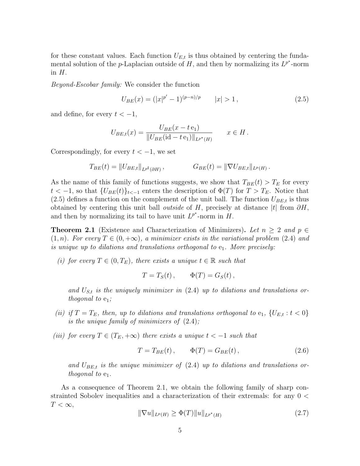for these constant values. Each function  $U_{E,t}$  is thus obtained by centering the fundamental solution of the *p*-Laplacian outside of H, and then by normalizing its  $L^{p^*}$ -norm in  $H$ .

Beyond-Escobar family: We consider the function

$$
U_{BE}(x) = (|x|^{p'} - 1)^{(p-n)/p} \qquad |x| > 1, \tag{2.5}
$$

and define, for every  $t < -1$ ,

$$
U_{BE,t}(x) = \frac{U_{BE}(x - t e_1)}{\|U_{BE}(\text{id} - t e_1)\|_{L^{p^*}(H)}} \qquad x \in H.
$$

Correspondingly, for every  $t < -1$ , we set

$$
T_{BE}(t) = ||U_{BE,t}||_{L^{p^{\sharp}}(\partial H)}, \qquad G_{BE}(t) = ||\nabla U_{BE,t}||_{L^{p}(H)}.
$$

As the name of this family of functions suggests, we show that  $T_{BE}(t) > T_E$  for every  $t < -1$ , so that  $\{U_{BE}(t)\}_{t<-1}$  enters the description of  $\Phi(T)$  for  $T > T_E$ . Notice that  $(2.5)$  defines a function on the complement of the unit ball. The function  $U_{BE,t}$  is thus obtained by centering this unit ball *outside* of H, precisely at distance  $|t|$  from  $\partial H$ , and then by normalizing its tail to have unit  $L^{p^*}$ -norm in  $H$ .

**Theorem 2.1** (Existence and Characterization of Minimizers). Let  $n \geq 2$  and  $p \in$  $(1, n)$ . For every  $T \in (0, +\infty)$ , a minimizer exists in the variational problem  $(2.4)$  and is unique up to dilations and translations orthogonal to  $e_1$ . More precisely:

(i) for every  $T \in (0, T_E)$ , there exists a unique  $t \in \mathbb{R}$  such that

$$
T = T_S(t) , \qquad \Phi(T) = G_S(t) ,
$$

and  $U_{S,t}$  is the uniquely minimizer in (2.4) up to dilations and translations orthogonal to  $e_1$ ;

- (ii) if  $T = T_E$ , then, up to dilations and translations orthogonal to  $e_1$ ,  $\{U_{E,t}: t < 0\}$ is the unique family of minimizers of  $(2.4)$ ;
- (iii) for every  $T \in (T_E, +\infty)$  there exists a unique  $t < -1$  such that

$$
T = T_{BE}(t), \qquad \Phi(T) = G_{BE}(t), \qquad (2.6)
$$

and  $U_{BE,t}$  is the unique minimizer of  $(2.4)$  up to dilations and translations orthogonal to  $e_1$ .

As a consequence of Theorem 2.1, we obtain the following family of sharp constrainted Sobolev inequalities and a characterization of their extremals: for any 0 <  $T < \infty$ ,

$$
\|\nabla u\|_{L^p(H)} \ge \Phi(T) \|u\|_{L^{p^*}(H)} \tag{2.7}
$$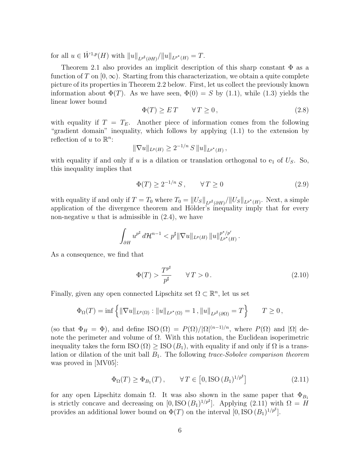for all  $u \in \dot{W}^{1,p}(H)$  with  $||u||_{L^{p^*}(\partial H)}/||u||_{L^{p^*}(H)} = T$ .

Theorem 2.1 also provides an implicit description of this sharp constant  $\Phi$  as a function of T on  $[0,\infty)$ . Starting from this characterization, we obtain a quite complete picture of its properties in Theorem 2.2 below. First, let us collect the previously known information about  $\Phi(T)$ . As we have seen,  $\Phi(0) = S$  by (1.1), while (1.3) yields the linear lower bound

$$
\Phi(T) \ge ET \qquad \forall T \ge 0,\tag{2.8}
$$

with equality if  $T = T_E$ . Another piece of information comes from the following "gradient domain" inequality, which follows by applying (1.1) to the extension by reflection of u to  $\mathbb{R}^n$ :

$$
\|\nabla u\|_{L^p(H)} \ge 2^{-1/n} S \|u\|_{L^{p^*}(H)},
$$

with equality if and only if u is a dilation or translation orthogonal to  $e_1$  of  $U_s$ . So, this inequality implies that

$$
\Phi(T) \ge 2^{-1/n} S, \qquad \forall T \ge 0 \tag{2.9}
$$

with equality if and only if  $T = T_0$  where  $T_0 = ||U_S||_{L^{p^*}(\partial H)}/||U_S||_{L^{p^*}(H)}$ . Next, a simple application of the divergence theorem and Hölder's inequality imply that for every non-negative  $u$  that is admissible in  $(2.4)$ , we have

$$
\int_{\partial H} u^{p^{\sharp}} d\mathcal{H}^{n-1} < p^{\sharp} \|\nabla u\|_{L^{p}(H)} \|u\|_{L^{p^{\star}}(H)}^{p^{\star}/p'}.
$$

As a consequence, we find that

$$
\Phi(T) > \frac{T^{p^{\sharp}}}{p^{\sharp}} \qquad \forall \, T > 0 \,. \tag{2.10}
$$

Finally, given any open connected Lipschitz set  $\Omega \subset \mathbb{R}^n$ , let us set

$$
\Phi_{\Omega}(T) = \inf \left\{ \|\nabla u\|_{L^{p}(\Omega)} : \|u\|_{L^{p^{*}}(\Omega)} = 1, \|u\|_{L^{p^{\sharp}}(\partial\Omega)} = T \right\} \qquad T \ge 0,
$$

(so that  $\Phi_H = \Phi$ ), and define ISO  $(\Omega) = P(\Omega)/|\Omega|^{(n-1)/n}$ , where  $P(\Omega)$  and  $|\Omega|$  denote the perimeter and volume of  $\Omega$ . With this notation, the Euclidean isoperimetric inequality takes the form  $\text{ISO}(\Omega) \geq \text{ISO}(B_1)$ , with equality if and only if  $\Omega$  is a translation or dilation of the unit ball  $B_1$ . The following trace-Sobolev comparison theorem was proved in [MV05]:

$$
\Phi_{\Omega}(T) \ge \Phi_{B_1}(T), \qquad \forall T \in [0, \text{ISO}(B_1)^{1/p^{\sharp}}] \tag{2.11}
$$

for any open Lipschitz domain  $\Omega$ . It was also shown in the same paper that  $\Phi_{B_1}$ is strictly concave and decreasing on  $[0, ISO(B_1)^{1/p^{\sharp}}]$ . Applying (2.11) with  $\Omega = H$ provides an additional lower bound on  $\Phi(T)$  on the interval  $[0, ISO (B<sub>1</sub>)^{1/p^{\sharp}}]$ .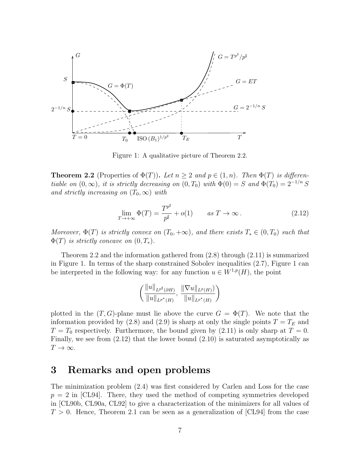

Figure 1: A qualitative picture of Theorem 2.2.

**Theorem 2.2** (Properties of  $\Phi(T)$ ). Let  $n \geq 2$  and  $p \in (1, n)$ . Then  $\Phi(T)$  is differentiable on  $(0, \infty)$ , it is strictly decreasing on  $(0, T_0)$  with  $\Phi(0) = S$  and  $\Phi(T_0) = 2^{-1/n} S$ and strictly increasing on  $(T_0,\infty)$  with

$$
\lim_{T \to +\infty} \Phi(T) = \frac{T^{p^{\sharp}}}{p^{\sharp}} + o(1) \qquad \text{as } T \to \infty.
$$
 (2.12)

Moreover,  $\Phi(T)$  is strictly convex on  $(T_0, +\infty)$ , and there exists  $T_* \in (0, T_0)$  such that  $\Phi(T)$  is strictly concave on  $(0, T_*)$ .

Theorem 2.2 and the information gathered from (2.8) through (2.11) is summarized in Figure 1. In terms of the sharp constrained Sobolev inequalities (2.7), Figure 1 can be interpreted in the following way: for any function  $u \in W^{1,p}(H)$ , the point

$$
\left(\frac{\|u\|_{L^{p^{\sharp}}(\partial H)}}{\|u\|_{L^{p^{\star}}(H)}},\,\frac{\|\nabla u\|_{L^{p}(H)})}{\|u\|_{L^{p^{\star}}(H)}}\right)
$$

plotted in the  $(T, G)$ -plane must lie above the curve  $G = \Phi(T)$ . We note that the information provided by (2.8) and (2.9) is sharp at only the single points  $T = T_E$  and  $T = T_0$  respectively. Furthermore, the bound given by (2.11) is only sharp at  $T = 0$ . Finally, we see from (2.12) that the lower bound (2.10) is saturated asymptotically as  $T \to \infty$ .

### 3 Remarks and open problems

The minimization problem (2.4) was first considered by Carlen and Loss for the case  $p = 2$  in [CL94]. There, they used the method of competing symmetries developed in [CL90b, CL90a, CL92] to give a characterization of the minimizers for all values of  $T > 0$ . Hence, Theorem 2.1 can be seen as a generalization of [CL94] from the case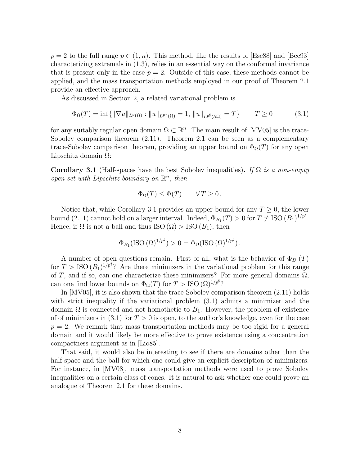$p = 2$  to the full range  $p \in (1, n)$ . This method, like the results of [Esc88] and [Bec93] characterizing extremals in (1.3), relies in an essential way on the conformal invariance that is present only in the case  $p = 2$ . Outside of this case, these methods cannot be applied, and the mass transportation methods employed in our proof of Theorem 2.1 provide an effective approach.

As discussed in Section 2, a related variational problem is

$$
\Phi_{\Omega}(T) = \inf \{ ||\nabla u||_{L^{p}(\Omega)} : ||u||_{L^{p^{*}}(\Omega)} = 1, ||u||_{L^{p^{*}}(\partial\Omega)} = T \} \qquad T \ge 0 \tag{3.1}
$$

for any suitably regular open domain  $\Omega \subset \mathbb{R}^n$ . The main result of [MV05] is the trace-Sobolev comparison theorem (2.11). Theorem 2.1 can be seen as a complementary trace-Sobolev comparison theorem, providing an upper bound on  $\Phi_{\Omega}(T)$  for any open Lipschitz domain  $Ω$ :

Corollary 3.1 (Half-spaces have the best Sobolev inequalities). If  $\Omega$  is a non-empty open set with Lipschitz boundary on  $\mathbb{R}^n$ , then

$$
\Phi_{\Omega}(T) \le \Phi(T) \qquad \forall T \ge 0.
$$

Notice that, while Corollary 3.1 provides an upper bound for any  $T \geq 0$ , the lower bound (2.11) cannot hold on a larger interval. Indeed,  $\Phi_{B_1}(T) > 0$  for  $T \neq \text{ISO}(B_1)^{1/p^{\sharp}}$ . Hence, if  $\Omega$  is not a ball and thus ISO  $(\Omega) >$  ISO  $(B_1)$ , then

$$
\Phi_{B_1}(\text{ISO }(\Omega)^{1/p^{\sharp}}) > 0 = \Phi_{\Omega}(\text{ISO }(\Omega)^{1/p^{\sharp}}).
$$

A number of open questions remain. First of all, what is the behavior of  $\Phi_{B_1}(T)$ for  $T > ISO (B_1)^{1/p^{\sharp}}$ ? Are there minimizers in the variational problem for this range of T, and if so, can one characterize these minimizers? For more general domains  $\Omega$ , can one find lower bounds on  $\Phi_{\Omega}(T)$  for  $T >$  ISO  $(\Omega)^{1/p^{\sharp}}$ ?

In [MV05], it is also shown that the trace-Sobolev comparison theorem (2.11) holds with strict inequality if the variational problem (3.1) admits a minimizer and the domain  $\Omega$  is connected and not homothetic to  $B_1$ . However, the problem of existence of of minimizers in (3.1) for  $T > 0$  is open, to the author's knowledge, even for the case  $p = 2$ . We remark that mass transportation methods may be too rigid for a general domain and it would likely be more effective to prove existence using a concentration compactness argument as in [Lio85].

That said, it would also be interesting to see if there are domains other than the half-space and the ball for which one could give an explicit description of minimizers. For instance, in [MV08], mass transportation methods were used to prove Sobolev inequalities on a certain class of cones. It is natural to ask whether one could prove an analogue of Theorem 2.1 for these domains.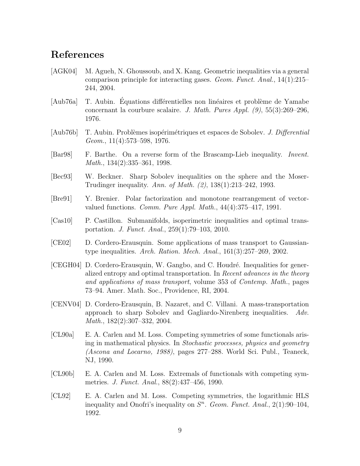#### References

- [AGK04] M. Agueh, N. Ghoussoub, and X. Kang. Geometric inequalities via a general comparison principle for interacting gases. Geom. Funct. Anal.,  $14(1):215-$ 244, 2004.
- [Aub76a] T. Aubin. Equations differentielles non linéaires et problème de Yamabe concernant la courbure scalaire. J. Math. Pures Appl.  $(9)$ , 55 $(3)$ :269–296, 1976.
- [Aub76b] T. Aubin. Problèmes isopérimétriques et espaces de Sobolev. J. Differential Geom., 11(4):573–598, 1976.
- [Bar98] F. Barthe. On a reverse form of the Brascamp-Lieb inequality. Invent. Math., 134(2):335–361, 1998.
- [Bec93] W. Beckner. Sharp Sobolev inequalities on the sphere and the Moser-Trudinger inequality. Ann. of Math. (2), 138(1):213–242, 1993.
- [Bre91] Y. Brenier. Polar factorization and monotone rearrangement of vectorvalued functions. *Comm. Pure Appl. Math.*,  $44(4):375-417$ , 1991.
- [Cas10] P. Castillon. Submanifolds, isoperimetric inequalities and optimal transportation. J. Funct. Anal., 259(1):79–103, 2010.
- [CE02] D. Cordero-Erausquin. Some applications of mass transport to Gaussiantype inequalities. Arch. Ration. Mech. Anal., 161(3):257–269, 2002.
- [CEGH04] D. Cordero-Erausquin, W. Gangbo, and C. Houdr´e. Inequalities for generalized entropy and optimal transportation. In Recent advances in the theory and applications of mass transport, volume 353 of Contemp. Math., pages 73–94. Amer. Math. Soc., Providence, RI, 2004.
- [CENV04] D. Cordero-Erausquin, B. Nazaret, and C. Villani. A mass-transportation approach to sharp Sobolev and Gagliardo-Nirenberg inequalities. Adv. Math., 182(2):307–332, 2004.
- [CL90a] E. A. Carlen and M. Loss. Competing symmetries of some functionals arising in mathematical physics. In Stochastic processes, physics and geometry (Ascona and Locarno, 1988), pages 277–288. World Sci. Publ., Teaneck, NJ, 1990.
- [CL90b] E. A. Carlen and M. Loss. Extremals of functionals with competing symmetries. J. Funct. Anal., 88(2):437–456, 1990.
- [CL92] E. A. Carlen and M. Loss. Competing symmetries, the logarithmic HLS inequality and Onofri's inequality on  $S<sup>n</sup>$ . Geom. Funct. Anal., 2(1):90-104, 1992.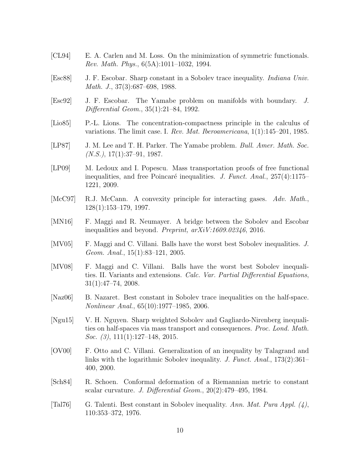- [CL94] E. A. Carlen and M. Loss. On the minimization of symmetric functionals. Rev. Math. Phys., 6(5A):1011–1032, 1994.
- [Esc88] J. F. Escobar. Sharp constant in a Sobolev trace inequality. Indiana Univ. Math. J., 37(3):687–698, 1988.
- [Esc92] J. F. Escobar. The Yamabe problem on manifolds with boundary. J. Differential Geom., 35(1):21–84, 1992.
- [Lio85] P.-L. Lions. The concentration-compactness principle in the calculus of variations. The limit case. I. Rev. Mat. Iberoamericana,  $1(1):145-201$ , 1985.
- [LP87] J. M. Lee and T. H. Parker. The Yamabe problem. *Bull. Amer. Math. Soc.*  $(N.S.), 17(1):37-91, 1987.$
- [LP09] M. Ledoux and I. Popescu. Mass transportation proofs of free functional inequalities, and free Poincaré inequalities. J. Funct. Anal.,  $257(4):1175-$ 1221, 2009.
- [McC97] R.J. McCann. A convexity principle for interacting gases. Adv. Math., 128(1):153–179, 1997.
- [MN16] F. Maggi and R. Neumayer. A bridge between the Sobolev and Escobar inequalities and beyond. Preprint, arXiV:1609.02346, 2016.
- [MV05] F. Maggi and C. Villani. Balls have the worst best Sobolev inequalities. J. Geom. Anal., 15(1):83–121, 2005.
- [MV08] F. Maggi and C. Villani. Balls have the worst best Sobolev inequalities. II. Variants and extensions. Calc. Var. Partial Differential Equations, 31(1):47–74, 2008.
- [Naz06] B. Nazaret. Best constant in Sobolev trace inequalities on the half-space. Nonlinear Anal., 65(10):1977–1985, 2006.
- [Ngu15] V. H. Nguyen. Sharp weighted Sobolev and Gagliardo-Nirenberg inequalities on half-spaces via mass transport and consequences. Proc. Lond. Math. *Soc.* (3),  $111(1):127-148$ ,  $2015$ .
- [OV00] F. Otto and C. Villani. Generalization of an inequality by Talagrand and links with the logarithmic Sobolev inequality. J. Funct. Anal., 173(2):361– 400, 2000.
- [Sch84] R. Schoen. Conformal deformation of a Riemannian metric to constant scalar curvature. J. Differential Geom., 20(2):479–495, 1984.
- [Tal76] G. Talenti. Best constant in Sobolev inequality. Ann. Mat. Pura Appl.  $(4)$ , 110:353–372, 1976.